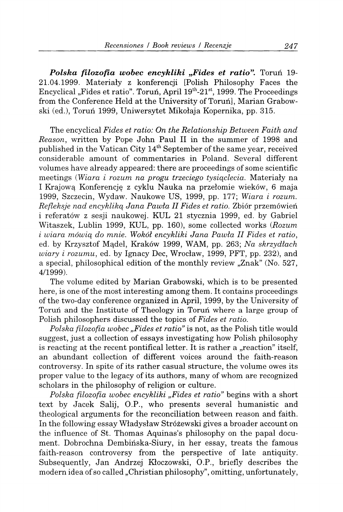Polska filozofia wobec encykliki "Fides et ratio". Torun 19-21.04.1999. Materialy z konferencji [Polish Philosophy Faces the Encyclical "Fides et ratio". Toruń, April 19<sup>th</sup>-21<sup>st</sup>, 1999. The Proceedings from the Conference Held at the University of Toruń], Marian Grabowski (ed.), Torun 1999, Uniwersytet Mikolaja Kopernika, pp. 315.

The encyclical *Fides et ratio: On the Relationship Between Faith and Reason,* written by Pope John Paul II in the summer of 1998 and published in the Vatican City 14<sup>th</sup> September of the same year, received considerable amount of commentaries in Poland. Several different volumes have already appeared: there are proceedings of some scientific meetings *{Wiara i rozum na progu trzeciego tysiqclecia.* Materialy na I Krajową Konferencję z cyklu Nauka na przełomie wieków, 6 maja 1999, Szczecin, Wydaw. Naukowe US, 1999, pp. 177; *Wiara i rozum. Refleksje nad encyklikq Jana Pawta II Fides et ratio.* Zbior przemowien i referatów z sesji naukowej. KUL 21 stycznia 1999, ed. by Gabriel Witaszek, Lublin 1999, KUL, pp. 160), some collected works *(Rozum i wiara mowiq do mnie. Woköl encykliki Jana Pawta II Fides et ratio,*  ed. by Krzysztof M^del, Kraköw 1999, WAM, pp. 263; *Na skrzydtach wiary i rozumu,* ed. by Ignacy Dec, Wroclaw, 1999, PFT, pp. 232), and a special, philosophical edition of the monthly review "Znak" (No. 527, 4/1999).

The volume edited by Marian Grabowski, which is to be presented here, is one of the most interesting among them. It contains proceedings of the two-day conference organized in April, 1999, by the University of Torun and the Institute of Theology in Torun where a large group of Polish philosophers discussed the topics of *Fides et ratio.* 

*Polska filozofia wobec "Fides et ratio"* is not, as the Polish title would suggest, just a collection of essays investigating how Polish philosophy is reacting at the recent pontifical letter. It is rather a  $\alpha$  reaction" itself, an abundant collection of different voices around the faith-reason controversy. In spite of its rather casual structure, the volume owes its proper value to the legacy of its authors, many of whom are recognized scholars in the philosophy of religion or culture.

*Polska filozofia wobec encykliki "Fides et ratio"* begins with a short text by Jacek Salij, O.P., who presents several humanistic and theological arguments for the reconciliation between reason and faith. In the following essay Wladyslaw Strözewski gives a broader account on the influence of St. Thomas Aquinas's philosophy on the papal document. Dobrochna Dembinska-Siury, in her essay, treats the famous faith-reason controversy from the perspective of late antiquity. Subsequently, Jan Andrzej Kloczowski, O.P., briefly describes the modern idea of so called "Christian philosophy", omitting, unfortunately,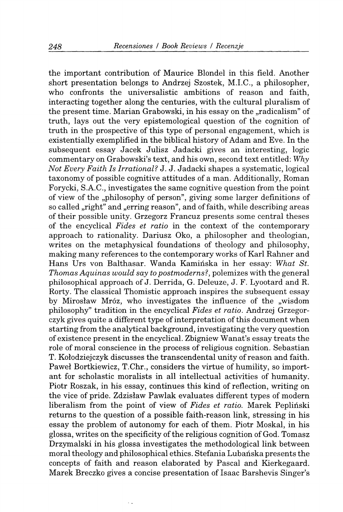the important contribution of Maurice Blondel in this field. Another short presentation belongs to Andrzej Szostek, M.I.C., a philosopher, who confronts the universalistic ambitions of reason and faith, interacting together along the centuries, with the cultural pluralism of the present time. Marian Grabowski, in his essay on the "radicalism" of truth, lays out the very epistemological question of the cognition of truth in the prospective of this type of personal engagement, which is existentially exemplified in the biblical history of Adam and Eve. In the subsequent essay Jacek Julisz Jadacki gives an interesting, logic commentary on Grabowski's text, and his own, second text entitled: Why *Not Every Faith Is Irrational?* J. J. Jadacki shapes a systematic, logical taxonomy of possible cognitive attitudes of a man. Additionally, Roman Forycki, S.A.C., investigates the same cognitive question from the point of view of the "philosophy of person", giving some larger definitions of so called "right" and "erring reason", and of faith, while describing areas of their possible unity. Grzegorz Francuz presents some central theses of the encyclical *Fides et ratio* in the context of the contemporary approach to rationality. Dariusz Oko, a philosopher and theologian, writes on the metaphysical foundations of theology and philosophy, making many references to the contemporary works of Karl Rahner and Hans Urs von Balthasar. Wanda Kaminska in her essay: *What St. Thomas Aquinas would say to postmoderns?,* polemizes with the general philosophical approach of J. Derrida, G. Deleuze, J. F. Lyootard and R. Rorty. The classical Thomistic approach inspires the subsequent essay by Mirosław Mróz, who investigates the influence of the "wisdom philosophy" tradition in the encyclical *Fides et ratio.* Andrzej Grzegorczyk gives quite a different type of interpretation of this document when starting from the analytical background, investigating the very question of existence present in the encyclical. Zbigniew Wanat's essay treats the role of moral conscience in the process of religious cognition. Sebastian T. Kolodziejczyk discusses the transcendental unity of reason and faith. Pawel Bortkiewicz, T.Chr., considers the virtue of humility, so important for scholastic moralists in all intellectual activities of humanity. Piotr Roszak, in his essay, continues this kind of reflection, writing on the vice of pride. Zdzislaw Pawlak evaluates different types of modern liberalism from the point of view of *Fides et ratio.* Marek Peplinski returns to the question of a possible faith-reason link, stressing in his essay the problem of autonomy for each of them. Piotr Moskal, in his glossa, writes on the specificity of the religious cognition of God. Tomasz Drzymalski in his glossa investigates the methodological link between moral theology and philosophical ethics. Stefania Lubanska presents the concepts of faith and reason elaborated by Pascal and Kierkegaard. Marek Breczko gives a concise presentation of Isaac Barshevis Singer's

 $\epsilon$  .